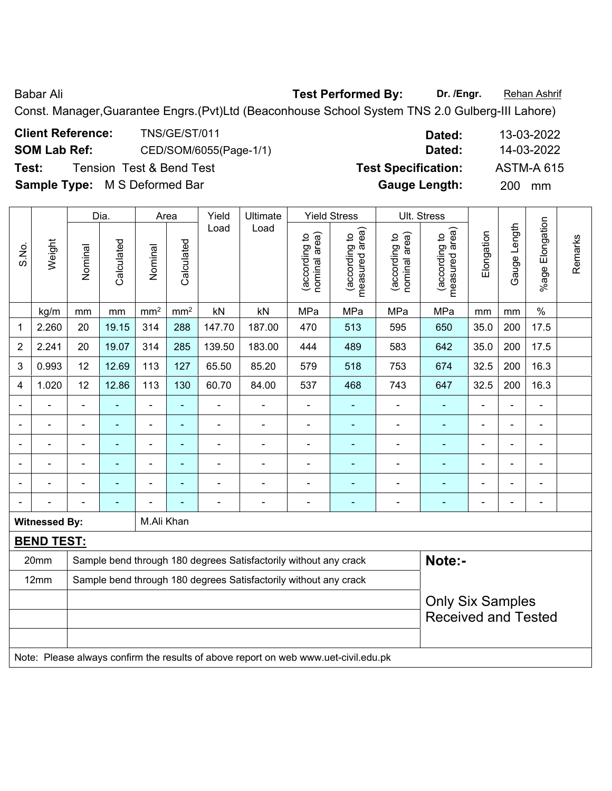Babar Ali **Babar Ali** *Test Performed By:* **Dr. /Engr. Rehan Ashrif** 

Const. Manager,Guarantee Engrs.(Pvt)Ltd (Beaconhouse School System TNS 2.0 Gulberg-III Lahore)

| <b>Client Reference:</b>             | TNS/GE/ST/011                       | Dated:                     | 13-03-2022        |
|--------------------------------------|-------------------------------------|----------------------------|-------------------|
| <b>SOM Lab Ref:</b>                  | CED/SOM/6055(Page-1/1)              | Dated:                     | 14-03-2022        |
| Test:                                | <b>Tension Test &amp; Bend Test</b> | <b>Test Specification:</b> | <b>ASTM-A 615</b> |
| <b>Sample Type:</b> M S Deformed Bar |                                     | <b>Gauge Length:</b>       | <b>200</b><br>mm  |

|                |                                                                                     |                            | Dia.           |                          | Area            | Yield                    | Ultimate                                                         |                                | <b>Yield Stress</b>             |                                | Ult. Stress                     |                |                |                          |         |
|----------------|-------------------------------------------------------------------------------------|----------------------------|----------------|--------------------------|-----------------|--------------------------|------------------------------------------------------------------|--------------------------------|---------------------------------|--------------------------------|---------------------------------|----------------|----------------|--------------------------|---------|
| S.No.          | Weight                                                                              | Nominal                    | Calculated     | Nominal                  | Calculated      | Load                     | Load                                                             | nominal area)<br>(according to | measured area)<br>(according to | nominal area)<br>(according to | measured area)<br>(according to | Elongation     | Gauge Length   | %age Elongation          | Remarks |
|                | kg/m                                                                                | mm                         | mm             | mm <sup>2</sup>          | mm <sup>2</sup> | kN                       | kN                                                               | MPa                            | MPa                             | MPa                            | MPa                             | mm             | mm             | $\%$                     |         |
| 1              | 2.260                                                                               | 20                         | 19.15          | 314                      | 288             | 147.70                   | 187.00                                                           | 470                            | 513                             | 595                            | 650                             | 35.0           | 200            | 17.5                     |         |
| 2              | 2.241                                                                               | 20                         | 19.07          | 314                      | 285             | 139.50                   | 183.00                                                           | 444                            | 489                             | 583                            | 642                             | 35.0           | 200            | 17.5                     |         |
| 3              | 0.993                                                                               | 12                         | 12.69          | 113                      | 127             | 65.50                    | 85.20                                                            | 579                            | 518                             | 753                            | 674                             | 32.5           | 200            | 16.3                     |         |
| 4              | 1.020                                                                               | 12                         | 12.86          | 113                      | 130             | 60.70                    | 84.00                                                            | 537                            | 468                             | 743                            | 647                             | 32.5           | 200            | 16.3                     |         |
|                |                                                                                     |                            |                |                          |                 |                          |                                                                  |                                |                                 |                                |                                 |                |                |                          |         |
|                |                                                                                     | $\blacksquare$             | ÷              | $\overline{a}$           | $\blacksquare$  | $\blacksquare$           | $\blacksquare$                                                   | -                              | $\blacksquare$                  | $\blacksquare$                 | $\blacksquare$                  |                | $\blacksquare$ | $\blacksquare$           |         |
| $\blacksquare$ |                                                                                     | $\blacksquare$             | ä,             | ÷,                       | $\blacksquare$  |                          | $\blacksquare$                                                   | -                              | $\blacksquare$                  |                                |                                 | $\blacksquare$ | L,             | $\blacksquare$           |         |
|                |                                                                                     | $\blacksquare$             | $\blacksquare$ | ÷,                       | ÷,              | $\overline{\phantom{0}}$ | $\blacksquare$                                                   | $\overline{a}$                 | ۰                               |                                |                                 |                | $\blacksquare$ | $\overline{\phantom{a}}$ |         |
|                |                                                                                     | $\blacksquare$             | $\blacksquare$ | $\overline{\phantom{a}}$ | $\blacksquare$  | $\blacksquare$           | $\blacksquare$                                                   | $\blacksquare$                 | ۰                               | ä,                             | $\blacksquare$                  |                | ÷              | $\blacksquare$           |         |
|                |                                                                                     |                            |                |                          |                 |                          | $\blacksquare$                                                   | ä,                             | ä,                              |                                |                                 |                | ä,             | $\blacksquare$           |         |
|                | <b>Witnessed By:</b>                                                                |                            |                | M.Ali Khan               |                 |                          |                                                                  |                                |                                 |                                |                                 |                |                |                          |         |
|                | <b>BEND TEST:</b>                                                                   |                            |                |                          |                 |                          |                                                                  |                                |                                 |                                |                                 |                |                |                          |         |
|                | 20mm                                                                                |                            |                |                          |                 |                          | Sample bend through 180 degrees Satisfactorily without any crack |                                |                                 |                                | Note:-                          |                |                |                          |         |
|                | 12mm                                                                                |                            |                |                          |                 |                          | Sample bend through 180 degrees Satisfactorily without any crack |                                |                                 |                                |                                 |                |                |                          |         |
|                |                                                                                     |                            |                |                          |                 |                          |                                                                  |                                |                                 |                                | <b>Only Six Samples</b>         |                |                |                          |         |
|                |                                                                                     | <b>Received and Tested</b> |                |                          |                 |                          |                                                                  |                                |                                 |                                |                                 |                |                |                          |         |
|                |                                                                                     |                            |                |                          |                 |                          |                                                                  |                                |                                 |                                |                                 |                |                |                          |         |
|                | Note: Please always confirm the results of above report on web www.uet-civil.edu.pk |                            |                |                          |                 |                          |                                                                  |                                |                                 |                                |                                 |                |                |                          |         |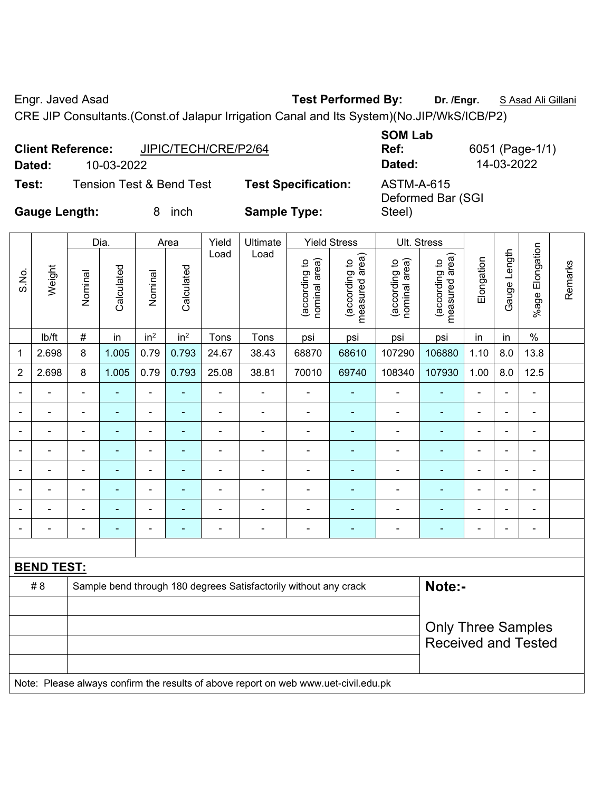Engr. Javed Asad **Test Performed By:** Dr. /Engr. **SAsad Ali Gillani** Collection Association Collection Association

CRE JIP Consultants.(Const.of Jalapur Irrigation Canal and Its System)(No.JIP/WkS/ICB/P2)

|                      | <b>Client Reference:</b> | JIPIC/TECH/CRE/P2/64                |                            | <b>SOM Lab</b><br>Ref:                 | 6051 (Page-1/1) |
|----------------------|--------------------------|-------------------------------------|----------------------------|----------------------------------------|-----------------|
| Dated:               | 10-03-2022               |                                     |                            | Dated:                                 | 14-03-2022      |
| Test:                |                          | <b>Tension Test &amp; Bend Test</b> | <b>Test Specification:</b> | <b>ASTM-A-615</b><br>Deformed Bar (SGI |                 |
| <b>Gauge Length:</b> |                          | inch                                | <b>Sample Type:</b>        | Steel)                                 |                 |

|                |                          |                | Dia.           |                          | Area            | Yield          | Ultimate                                                         |                                | <b>Yield Stress</b>             |                                | Ult. Stress                     |                |                |                          |         |
|----------------|--------------------------|----------------|----------------|--------------------------|-----------------|----------------|------------------------------------------------------------------|--------------------------------|---------------------------------|--------------------------------|---------------------------------|----------------|----------------|--------------------------|---------|
| S.No.          | Weight                   | Nominal        | Calculated     | Nominal                  | Calculated      | Load           | Load                                                             | nominal area)<br>(according to | measured area)<br>(according to | nominal area)<br>(according to | (according to<br>measured area) | Elongation     | Gauge Length   | %age Elongation          | Remarks |
|                | Ib/ft                    | $\#$           | in             | in <sup>2</sup>          | in <sup>2</sup> | Tons           | Tons                                                             | psi                            | psi                             | psi                            | psi                             | in             | in             | $\%$                     |         |
| 1              | 2.698                    | 8              | 1.005          | 0.79                     | 0.793           | 24.67          | 38.43                                                            | 68870                          | 68610                           | 107290                         | 106880                          | 1.10           | 8.0            | 13.8                     |         |
| $\overline{2}$ | 2.698                    | 8              | 1.005          | 0.79                     | 0.793           | 25.08          | 38.81                                                            | 70010                          | 69740                           | 108340                         | 107930                          | 1.00           | 8.0            | 12.5                     |         |
|                |                          |                |                | $\blacksquare$           | $\blacksquare$  |                |                                                                  | $\blacksquare$                 |                                 |                                | $\overline{\phantom{0}}$        | ۳              |                | $\overline{\phantom{a}}$ |         |
|                | ۳                        | $\blacksquare$ | $\blacksquare$ | ÷                        | ٠               | $\blacksquare$ | $\blacksquare$                                                   | $\overline{\phantom{a}}$       | ۰                               | $\blacksquare$                 | ۰                               | $\blacksquare$ | $\blacksquare$ | $\blacksquare$           |         |
| $\blacksquare$ | $\blacksquare$           | $\blacksquare$ | $\blacksquare$ | $\overline{\phantom{0}}$ | ٠               | $\blacksquare$ | $\blacksquare$                                                   | $\overline{\phantom{a}}$       | ٠                               | $\blacksquare$                 | $\blacksquare$                  | $\blacksquare$ | $\blacksquare$ | $\overline{\phantom{a}}$ |         |
|                | $\blacksquare$           | $\blacksquare$ |                | ÷                        | ۰               | $\blacksquare$ | $\blacksquare$                                                   | -                              | ۰                               | $\overline{\phantom{0}}$       | ۰                               | $\blacksquare$ | $\blacksquare$ | $\blacksquare$           |         |
|                |                          |                |                | ۰                        | ۰               | $\blacksquare$ | $\blacksquare$                                                   | -                              | ٠                               | $\overline{\phantom{0}}$       | $\overline{a}$                  | $\blacksquare$ |                | $\blacksquare$           |         |
| $\blacksquare$ | $\blacksquare$           | $\blacksquare$ | ٠              | ÷                        | ٠               | $\blacksquare$ | $\blacksquare$                                                   | $\blacksquare$                 | ٠                               | $\blacksquare$                 | ۰                               | $\blacksquare$ | $\blacksquare$ | $\blacksquare$           |         |
|                | $\overline{\phantom{0}}$ | $\blacksquare$ |                | ۰                        | ٠               | $\blacksquare$ | $\overline{\phantom{0}}$                                         | $\blacksquare$                 | $\overline{\phantom{0}}$        | $\overline{\phantom{a}}$       | $\blacksquare$                  | $\blacksquare$ | $\blacksquare$ | $\overline{\phantom{a}}$ |         |
|                | $\blacksquare$           | $\blacksquare$ | $\blacksquare$ | ä,                       | ٠               | $\blacksquare$ | $\blacksquare$                                                   | ÷,                             | ٠                               | $\blacksquare$                 | $\blacksquare$                  | $\blacksquare$ | $\blacksquare$ | $\blacksquare$           |         |
|                |                          |                |                |                          |                 |                |                                                                  |                                |                                 |                                |                                 |                |                |                          |         |
|                | <b>BEND TEST:</b>        |                |                |                          |                 |                |                                                                  |                                |                                 |                                |                                 |                |                |                          |         |
|                | #8                       |                |                |                          |                 |                | Sample bend through 180 degrees Satisfactorily without any crack |                                |                                 |                                | Note:-                          |                |                |                          |         |
|                |                          |                |                |                          |                 |                |                                                                  |                                |                                 |                                |                                 |                |                |                          |         |
|                |                          |                |                |                          |                 |                |                                                                  |                                |                                 |                                | <b>Only Three Samples</b>       |                |                |                          |         |
|                |                          |                |                |                          |                 |                |                                                                  |                                |                                 |                                | <b>Received and Tested</b>      |                |                |                          |         |
|                |                          |                |                |                          |                 |                |                                                                  |                                |                                 |                                |                                 |                |                |                          |         |

Note: Please always confirm the results of above report on web www.uet-civil.edu.pk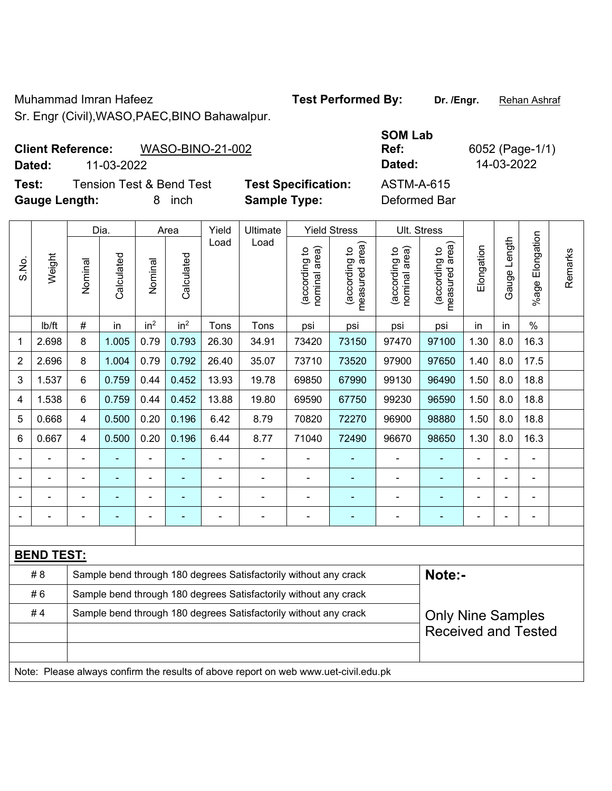Muhammad Imran Hafeez **Test Performed By:** Dr. /Engr. **Rehan Ashraf** 

Sr. Engr (Civil),WASO,PAEC,BINO Bahawalpur.

**Client Reference:** WASO-BINO-21-002

**Dated:** 11-03-2022 **Dated:** 14-03-2022

**Test:** Tension Test & Bend Test **Test Specification:** ASTM-A-615 **Gauge Length:** 8 inch **Sample Type:** Deformed Bar

|                          |                   |                | Dia.       |                 | Area            | Ult. Stress |                                                                                     |                                |                                 |                                |                                             |            |                |                       |         |
|--------------------------|-------------------|----------------|------------|-----------------|-----------------|-------------|-------------------------------------------------------------------------------------|--------------------------------|---------------------------------|--------------------------------|---------------------------------------------|------------|----------------|-----------------------|---------|
| S.No.                    | Weight            | Nominal        | Calculated | Nominal         | Calculated      | Load        | Load                                                                                | (according to<br>nominal area) | (according to<br>measured area) | nominal area)<br>(according to | (according to<br>neasured area)<br>measured | Elongation | Gauge Length   | Elongation<br>$%$ age | Remarks |
|                          | lb/ft             | $\#$           | in         | in <sup>2</sup> | in <sup>2</sup> | Tons        | Tons                                                                                | psi                            | psi                             | psi                            | psi                                         | in         | in             | $\%$                  |         |
| 1                        | 2.698             | 8              | 1.005      | 0.79            | 0.793           | 26.30       | 34.91                                                                               | 73420                          | 73150                           | 97470                          | 97100                                       | 1.30       | 8.0            | 16.3                  |         |
| 2                        | 2.696             | 8              | 1.004      | 0.79            | 0.792           | 26.40       | 35.07                                                                               | 73710                          | 73520                           | 97900                          | 97650                                       | 1.40       | 8.0            | 17.5                  |         |
| 3                        | 1.537             | 6              | 0.759      | 0.44            | 0.452           | 13.93       | 19.78                                                                               | 69850                          | 67990                           | 99130                          | 96490                                       | 1.50       | 8.0            | 18.8                  |         |
| 4                        | 1.538             | 6              | 0.759      | 0.44            | 0.452           | 13.88       | 19.80                                                                               | 69590                          | 67750                           | 99230                          | 96590                                       | 1.50       | 8.0            | 18.8                  |         |
| 5                        | 0.668             | $\overline{4}$ | 0.500      | 0.20            | 0.196           | 6.42        | 8.79                                                                                | 70820                          | 72270                           | 96900                          | 98880                                       | 1.50       | 8.0            | 18.8                  |         |
| 6                        | 0.667             | $\overline{4}$ | 0.500      | 0.20            | 0.196           | 6.44        | 8.77                                                                                | 71040                          | 72490                           | 96670                          | 98650                                       | 1.30       | 8.0            | 16.3                  |         |
| $\blacksquare$           |                   | $\blacksquare$ | ÷,         | ÷,              |                 | ÷,          | ÷                                                                                   | $\blacksquare$                 |                                 | ÷                              | $\blacksquare$                              | ä,         |                | ä,                    |         |
|                          |                   |                |            |                 |                 |             |                                                                                     |                                |                                 |                                |                                             |            |                | $\blacksquare$        |         |
|                          |                   |                |            |                 |                 |             |                                                                                     | $\blacksquare$                 |                                 |                                |                                             |            |                | $\blacksquare$        |         |
| $\overline{\phantom{a}}$ |                   | $\blacksquare$ | ä,         | -               | ٠               | -           | ÷                                                                                   | $\blacksquare$                 | ÷                               |                                | ÷                                           |            | $\blacksquare$ | $\blacksquare$        |         |
|                          |                   |                |            |                 |                 |             |                                                                                     |                                |                                 |                                |                                             |            |                |                       |         |
|                          | <b>BEND TEST:</b> |                |            |                 |                 |             |                                                                                     |                                |                                 |                                |                                             |            |                |                       |         |
|                          | #8                |                |            |                 |                 |             | Sample bend through 180 degrees Satisfactorily without any crack                    |                                |                                 |                                | Note:-                                      |            |                |                       |         |
|                          | #6                |                |            |                 |                 |             | Sample bend through 180 degrees Satisfactorily without any crack                    |                                |                                 |                                |                                             |            |                |                       |         |
|                          | #4                |                |            |                 |                 |             | Sample bend through 180 degrees Satisfactorily without any crack                    |                                |                                 |                                | <b>Only Nine Samples</b>                    |            |                |                       |         |
|                          |                   |                |            |                 |                 |             |                                                                                     |                                |                                 |                                | <b>Received and Tested</b>                  |            |                |                       |         |
|                          |                   |                |            |                 |                 |             |                                                                                     |                                |                                 |                                |                                             |            |                |                       |         |
|                          |                   |                |            |                 |                 |             | Note: Please always confirm the results of above report on web www.uet-civil.edu.pk |                                |                                 |                                |                                             |            |                |                       |         |

**SOM Lab Ref:** 6052 (Page-1/1)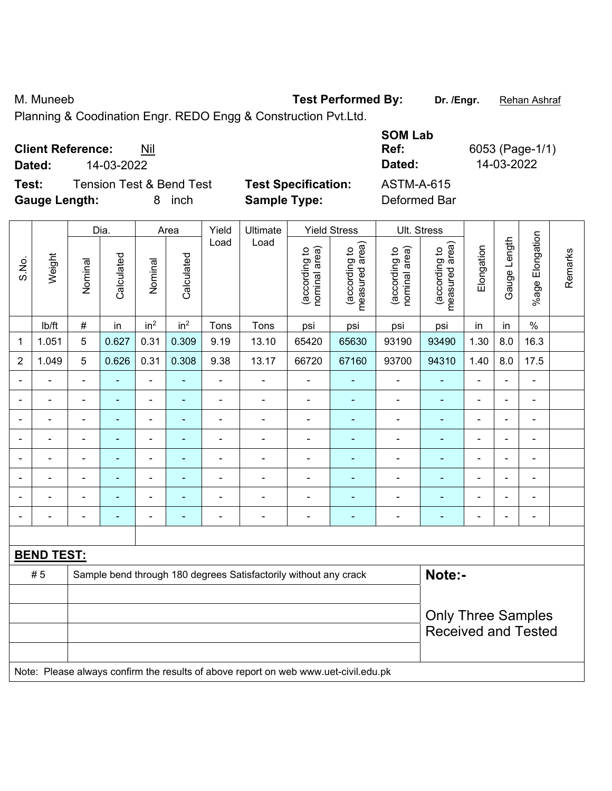M. Muneeb **Test Performed By:** Dr. /Engr. **Rehan Ashraf** 

Planning & Coodination Engr. REDO Engg & Construction Pvt.Ltd.

| <b>Client Reference:</b><br>Nil<br>14-03-2022<br>Dated:                      |                                                   | <b>SOM Lab</b><br>Ref:<br>Dated: | 6053 (Page-1<br>14-03-2022 |
|------------------------------------------------------------------------------|---------------------------------------------------|----------------------------------|----------------------------|
| <b>Tension Test &amp; Bend Test</b><br>Test:<br><b>Gauge Length:</b><br>inch | <b>Test Specification:</b><br><b>Sample Type:</b> | ASTM-A-615<br>Deformed Bar       |                            |

|                |                   | Dia.<br>Yield<br>Ultimate<br><b>Yield Stress</b><br>Area |                |                              |                 |                |                                                                                     |                               |                                 |                                | <b>Ult. Stress</b>              |                          |                |                              |         |
|----------------|-------------------|----------------------------------------------------------|----------------|------------------------------|-----------------|----------------|-------------------------------------------------------------------------------------|-------------------------------|---------------------------------|--------------------------------|---------------------------------|--------------------------|----------------|------------------------------|---------|
| S.No.          | Weight            | Nominal                                                  | Calculated     | Nominal                      | Calculated      | Load           | Load                                                                                | nominal area)<br>according to | measured area)<br>(according to | (according to<br>nominal area) | (according to<br>measured area) | Elongation               | Gauge Length   | Elongation<br>%age l         | Remarks |
|                | lb/ft             | $\#$                                                     | in             | in <sup>2</sup>              | in <sup>2</sup> | Tons           | Tons                                                                                | psi                           | psi                             | psi                            | psi                             | in                       | in             | $\%$                         |         |
| 1              | 1.051             | 5                                                        | 0.627          | 0.31                         | 0.309           | 9.19           | 13.10                                                                               | 65420                         | 65630                           | 93190                          | 93490                           | 1.30                     | 8.0            | 16.3                         |         |
| $\overline{2}$ | 1.049             | 5                                                        | 0.626          | 0.31                         | 0.308           | 9.38           | 13.17                                                                               | 66720                         | 67160                           | 93700                          | 94310                           | 1.40                     | 8.0            | 17.5                         |         |
|                |                   |                                                          |                | L,                           |                 |                | L,                                                                                  |                               |                                 |                                |                                 |                          |                | ä,                           |         |
|                |                   |                                                          |                | ÷,                           |                 | Ē,             | ÷                                                                                   | $\blacksquare$                |                                 | $\blacksquare$                 | ä,                              | Ē,                       | $\blacksquare$ | $\blacksquare$               |         |
| $\overline{a}$ |                   |                                                          |                |                              |                 |                |                                                                                     | $\overline{\phantom{0}}$      |                                 |                                | $\blacksquare$                  | $\blacksquare$           | ÷              | ۰                            |         |
| $\overline{a}$ |                   |                                                          |                | $\qquad \qquad \blacksquare$ |                 |                |                                                                                     | $\overline{\phantom{0}}$      | ۰                               | ۰                              | ۳                               | ÷,                       | ÷.             | $\qquad \qquad \blacksquare$ |         |
| $\blacksquare$ | $\blacksquare$    | $\blacksquare$                                           | $\blacksquare$ | $\overline{\phantom{0}}$     | ۰               | $\blacksquare$ | $\blacksquare$                                                                      | $\overline{\phantom{a}}$      | ٠                               | ٠                              | $\blacksquare$                  | $\blacksquare$           | $\blacksquare$ | $\qquad \qquad \blacksquare$ |         |
| $\blacksquare$ |                   | $\blacksquare$                                           | $\blacksquare$ | $\overline{\phantom{0}}$     | $\blacksquare$  | $\overline{a}$ | Ē,                                                                                  | ä,                            | ä,                              | $\blacksquare$                 | ä,                              | $\overline{a}$           | $\blacksquare$ | $\blacksquare$               |         |
|                |                   |                                                          |                | -                            |                 |                | ÷                                                                                   | $\blacksquare$                |                                 | $\blacksquare$                 | ÷,                              | Ē,                       |                | $\blacksquare$               |         |
|                |                   |                                                          |                | -                            |                 |                |                                                                                     | $\blacksquare$                |                                 |                                | ۳                               | $\overline{\phantom{a}}$ |                | $\qquad \qquad \blacksquare$ |         |
|                |                   |                                                          |                |                              |                 |                |                                                                                     |                               |                                 |                                |                                 |                          |                |                              |         |
|                | <b>BEND TEST:</b> |                                                          |                |                              |                 |                |                                                                                     |                               |                                 |                                |                                 |                          |                |                              |         |
|                | #5                |                                                          |                |                              |                 |                | Sample bend through 180 degrees Satisfactorily without any crack                    |                               |                                 |                                | Note:-                          |                          |                |                              |         |
|                |                   |                                                          |                |                              |                 |                |                                                                                     |                               |                                 |                                |                                 |                          |                |                              |         |
|                |                   |                                                          |                |                              |                 |                |                                                                                     |                               |                                 |                                | <b>Only Three Samples</b>       |                          |                |                              |         |
|                |                   |                                                          |                |                              |                 |                |                                                                                     |                               |                                 |                                | <b>Received and Tested</b>      |                          |                |                              |         |
|                |                   |                                                          |                |                              |                 |                |                                                                                     |                               |                                 |                                |                                 |                          |                |                              |         |
|                |                   |                                                          |                |                              |                 |                | Note: Please always confirm the results of above report on web www.uet-civil.edu.pk |                               |                                 |                                |                                 |                          |                |                              |         |

*(1)*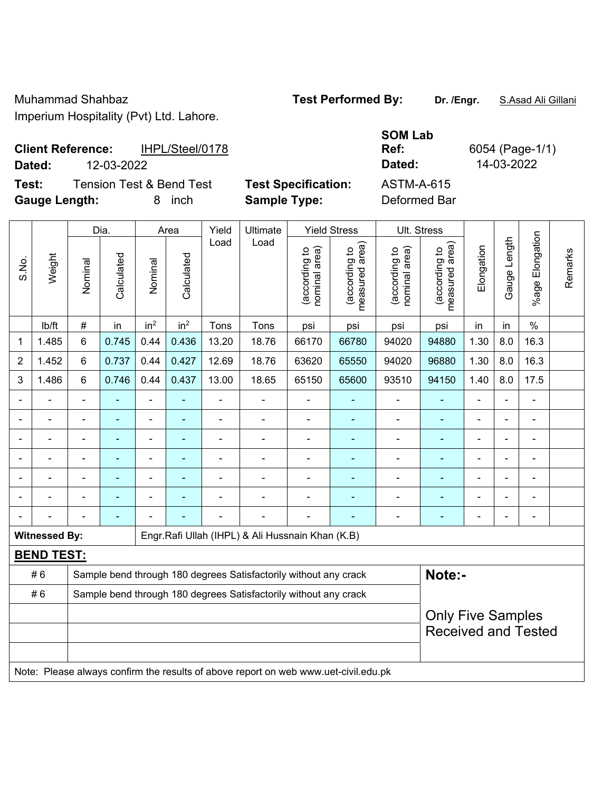Muhammad Shahbaz **Test Performed By: Dr. /Engr.** S.Asad Ali Gillani Imperium Hospitality (Pvt) Ltd. Lahore.

## **Client Reference:** IHPL/Steel/0178 **Dated:** 12-03-2022 **Dated:** 14-03-2022

**Test:** Tension Test & Bend Test **Test Specification:** ASTM-A-615

**Gauge Length:** 8 inch **Sample Type:** Deformed Bar

**SOM Lab Ref:** 6054 (Page-1/1)

|                |                      |                                                                                     | Dia.                     |                 | Area                     | Ult. Stress    |                                                                  |                                |                                             |                                |                                 |                |                |                          |         |
|----------------|----------------------|-------------------------------------------------------------------------------------|--------------------------|-----------------|--------------------------|----------------|------------------------------------------------------------------|--------------------------------|---------------------------------------------|--------------------------------|---------------------------------|----------------|----------------|--------------------------|---------|
| S.No.          | Weight               | Nominal                                                                             | Calculated               | Nominal         | Calculated               | Load           | Load                                                             | nominal area)<br>(according to | (according to<br>measured area)<br>measured | (according to<br>nominal area) | measured area)<br>(according to | Elongation     | Gauge Length   | Elongation<br>$%$ age    | Remarks |
|                | Ib/ft                | #                                                                                   | in                       | in <sup>2</sup> | in <sup>2</sup>          | Tons           | Tons                                                             | psi                            | psi                                         | psi                            | psi                             | in             | in             | $\%$                     |         |
| 1              | 1.485                | 6                                                                                   | 0.745                    | 0.44            | 0.436                    | 13.20          | 18.76                                                            | 66170                          | 66780                                       | 94020                          | 94880                           | 1.30           | 8.0            | 16.3                     |         |
| $\overline{2}$ | 1.452                | 6                                                                                   | 0.737                    | 0.44            | 0.427                    | 12.69          | 18.76                                                            | 63620                          | 65550                                       | 94020                          | 96880                           | 1.30           | 8.0            | 16.3                     |         |
| 3              | 1.486                | 6                                                                                   | 0.746                    | 0.44            | 0.437                    | 13.00          | 18.65                                                            | 65150                          | 65600                                       | 93510                          | 94150                           | 1.40           | 8.0            | 17.5                     |         |
|                |                      | $\blacksquare$                                                                      |                          |                 |                          |                |                                                                  |                                |                                             |                                |                                 |                |                | ۰                        |         |
|                |                      |                                                                                     |                          | ÷,              | $\overline{\phantom{0}}$ | Ē,             | $\overline{a}$                                                   |                                | $\overline{\phantom{0}}$                    | $\overline{\phantom{0}}$       | ۳                               |                | $\blacksquare$ | $\overline{\phantom{a}}$ |         |
|                |                      | $\blacksquare$                                                                      |                          |                 | ٠                        | $\blacksquare$ |                                                                  | $\blacksquare$                 | ٠                                           | $\overline{a}$                 | $\blacksquare$                  |                | ÷              | $\overline{\phantom{a}}$ |         |
|                |                      | $\blacksquare$                                                                      | $\blacksquare$           | ÷,              | $\blacksquare$           | $\blacksquare$ | $\blacksquare$                                                   | $\blacksquare$                 | $\blacksquare$                              | $\qquad \qquad \blacksquare$   | $\blacksquare$                  | $\blacksquare$ | ä,             | $\blacksquare$           |         |
|                |                      |                                                                                     | $\blacksquare$           |                 |                          |                |                                                                  | $\overline{\phantom{a}}$       | $\blacksquare$                              | $\blacksquare$                 | $\blacksquare$                  |                | $\blacksquare$ | $\blacksquare$           |         |
|                |                      |                                                                                     |                          |                 |                          |                |                                                                  |                                |                                             |                                |                                 |                |                | $\blacksquare$           |         |
|                |                      |                                                                                     |                          |                 |                          |                |                                                                  |                                |                                             |                                |                                 |                | ÷              | $\overline{\phantom{a}}$ |         |
|                | <b>Witnessed By:</b> |                                                                                     |                          |                 |                          |                | Engr.Rafi Ullah (IHPL) & Ali Hussnain Khan (K.B)                 |                                |                                             |                                |                                 |                |                |                          |         |
|                | <b>BEND TEST:</b>    |                                                                                     |                          |                 |                          |                |                                                                  |                                |                                             |                                |                                 |                |                |                          |         |
|                | #6                   |                                                                                     |                          |                 |                          |                | Sample bend through 180 degrees Satisfactorily without any crack |                                |                                             |                                | Note:-                          |                |                |                          |         |
|                | #6                   |                                                                                     |                          |                 |                          |                | Sample bend through 180 degrees Satisfactorily without any crack |                                |                                             |                                |                                 |                |                |                          |         |
|                |                      |                                                                                     | <b>Only Five Samples</b> |                 |                          |                |                                                                  |                                |                                             |                                |                                 |                |                |                          |         |
|                |                      | <b>Received and Tested</b>                                                          |                          |                 |                          |                |                                                                  |                                |                                             |                                |                                 |                |                |                          |         |
|                |                      | Note: Please always confirm the results of above report on web www.uet-civil.edu.pk |                          |                 |                          |                |                                                                  |                                |                                             |                                |                                 |                |                |                          |         |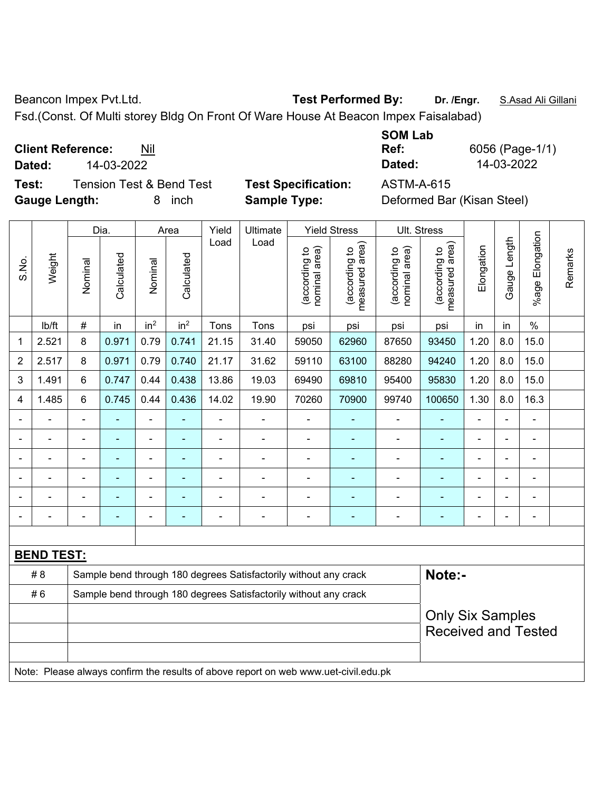Beancon Impex Pvt.Ltd. **Test Performed By:** Dr. /Engr. **S.Asad Ali Gillani** 

Fsd.(Const. Of Multi storey Bldg On Front Of Ware House At Beacon Impex Faisalabad)

**Client Reference:** Nil

**Test:** Tension Test & Bend Test **Test Specification:** ASTM-A-615 **Gauge Length:** 8 inch **Sample Type:** Deformed Bar (Kisan Steel)

**SOM Lab Ref:** 6056 (Page-1/1) **Dated:** 14-03-2022 **Dated:** 14-03-2022

|                |                   |                | Dia.                     |                              | Area            | Yield                                                            | Ultimate       |                                | <b>Yield Stress</b>             |                                | Ult. Stress                     |                |              |                       |         |
|----------------|-------------------|----------------|--------------------------|------------------------------|-----------------|------------------------------------------------------------------|----------------|--------------------------------|---------------------------------|--------------------------------|---------------------------------|----------------|--------------|-----------------------|---------|
| S.No.          | Weight            | Nominal        | Calculated               | Nominal                      | Calculated      | Load                                                             | Load           | nominal area)<br>(according to | (according to<br>measured area) | nominal area)<br>(according to | (according to<br>measured area) | Elongation     | Gauge Length | Elongation<br>$%$ age | Remarks |
|                | lb/ft             | $\#$           | in                       | in <sup>2</sup>              | in <sup>2</sup> | Tons                                                             | Tons           | psi                            | psi                             | psi                            | psi                             | in             | in           | $\%$                  |         |
| 1              | 2.521             | 8              | 0.971                    | 0.79                         | 0.741           | 21.15                                                            | 31.40          | 59050                          | 62960                           | 87650                          | 93450                           | 1.20           | 8.0          | 15.0                  |         |
| $\overline{2}$ | 2.517             | 8              | 0.971                    | 0.79                         | 0.740           | 21.17                                                            | 31.62          | 59110                          | 63100                           | 88280                          | 94240                           | 1.20           | 8.0          | 15.0                  |         |
| 3              | 1.491             | 6              | 0.747                    | 0.44                         | 0.438           | 13.86                                                            | 19.03          | 69490                          | 69810                           | 95400                          | 95830                           | 1.20           | 8.0          | 15.0                  |         |
| 4              | 1.485             | 6              | 0.745                    | 0.44                         | 0.436           | 14.02                                                            | 19.90          | 70260                          | 70900                           | 99740                          | 100650                          | 1.30           | 8.0          | 16.3                  |         |
|                |                   |                |                          | $\qquad \qquad \blacksquare$ |                 | $\blacksquare$                                                   | $\blacksquare$ | $\blacksquare$                 |                                 | $\blacksquare$                 | $\blacksquare$                  | $\blacksquare$ |              | $\blacksquare$        |         |
|                |                   |                | ä,                       | $\blacksquare$               |                 |                                                                  | $\blacksquare$ | $\blacksquare$                 | $\blacksquare$                  | $\blacksquare$                 | L.                              | $\blacksquare$ |              | ä,                    |         |
|                |                   |                |                          | ä,                           |                 |                                                                  | $\blacksquare$ | $\blacksquare$                 |                                 | $\blacksquare$                 |                                 |                |              | $\blacksquare$        |         |
|                |                   | $\blacksquare$ | $\blacksquare$           | -                            |                 |                                                                  | $\blacksquare$ | $\blacksquare$                 | ٠                               | $\blacksquare$                 | $\blacksquare$                  | ۰              |              | $\blacksquare$        |         |
|                | $\blacksquare$    |                | $\overline{\phantom{0}}$ | $\qquad \qquad \blacksquare$ | ۰               | $\blacksquare$                                                   | $\blacksquare$ | $\blacksquare$                 | ٠                               | $\blacksquare$                 | $\blacksquare$                  | $\blacksquare$ |              | $\blacksquare$        |         |
|                |                   |                |                          | -                            |                 |                                                                  |                |                                |                                 |                                |                                 | $\blacksquare$ |              | $\blacksquare$        |         |
|                |                   |                |                          |                              |                 |                                                                  |                |                                |                                 |                                |                                 |                |              |                       |         |
|                | <b>BEND TEST:</b> |                |                          |                              |                 |                                                                  |                |                                |                                 |                                |                                 |                |              |                       |         |
|                | # 8               |                |                          |                              |                 | Sample bend through 180 degrees Satisfactorily without any crack |                | Note:-                         |                                 |                                |                                 |                |              |                       |         |
|                | #6                |                |                          |                              |                 | Sample bend through 180 degrees Satisfactorily without any crack |                |                                |                                 |                                |                                 |                |              |                       |         |
|                |                   |                |                          |                              |                 |                                                                  |                |                                |                                 |                                | <b>Only Six Samples</b>         |                |              |                       |         |
|                |                   |                |                          |                              |                 |                                                                  |                |                                |                                 |                                | <b>Received and Tested</b>      |                |              |                       |         |
|                |                   |                |                          |                              |                 |                                                                  |                |                                |                                 |                                |                                 |                |              |                       |         |

Note: Please always confirm the results of above report on web www.uet-civil.edu.pk